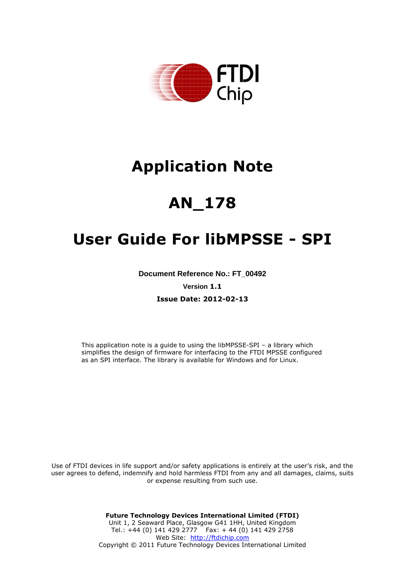

# **Application Note**

# **AN\_178**

# **User Guide For libMPSSE - SPI**

**Document Reference No.: FT\_00492** 

**Version 1.1**

**Issue Date: 2012-02-13**

This application note is a guide to using the libMPSSE-SPI – a library which simplifies the design of firmware for interfacing to the FTDI MPSSE configured as an SPI interface. The library is available for Windows and for Linux.

Use of FTDI devices in life support and/or safety applications is entirely at the user's risk, and the user agrees to defend, indemnify and hold harmless FTDI from any and all damages, claims, suits or expense resulting from such use.

> **Future Technology Devices International Limited (FTDI)** Unit 1, 2 Seaward Place, Glasgow G41 1HH, United Kingdom Tel.: +44 (0) 141 429 2777 Fax: + 44 (0) 141 429 2758 Web Site: http://ftdichip.com Copyright © 2011 Future Technology Devices International Limited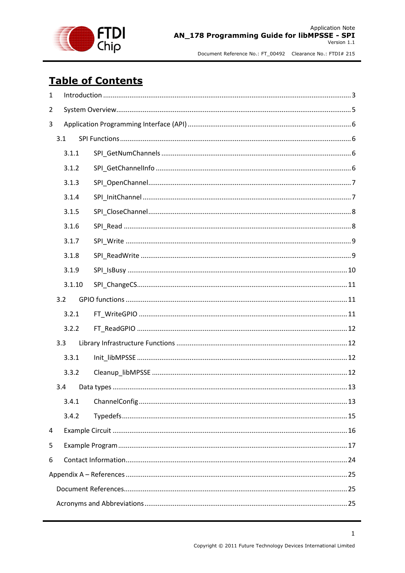

# **Table of Contents**

| $\mathbf{1}$   |     |        |  |  |
|----------------|-----|--------|--|--|
| $\overline{2}$ |     |        |  |  |
| 3              |     |        |  |  |
|                | 3.1 |        |  |  |
|                |     | 3.1.1  |  |  |
|                |     | 3.1.2  |  |  |
|                |     | 3.1.3  |  |  |
|                |     | 3.1.4  |  |  |
|                |     | 3.1.5  |  |  |
|                |     | 3.1.6  |  |  |
|                |     | 3.1.7  |  |  |
|                |     | 3.1.8  |  |  |
|                |     | 3.1.9  |  |  |
|                |     | 3.1.10 |  |  |
|                | 3.2 |        |  |  |
|                |     | 3.2.1  |  |  |
|                |     | 3.2.2  |  |  |
|                | 3.3 |        |  |  |
|                |     | 3.3.1  |  |  |
|                |     | 3.3.2  |  |  |
|                | 3.4 |        |  |  |
|                |     | 3.4.1  |  |  |
|                |     | 3.4.2  |  |  |
| 4              |     |        |  |  |
| 5              |     |        |  |  |
| 6              |     |        |  |  |
|                |     |        |  |  |
|                |     |        |  |  |
|                |     |        |  |  |

 $\mathbf 1$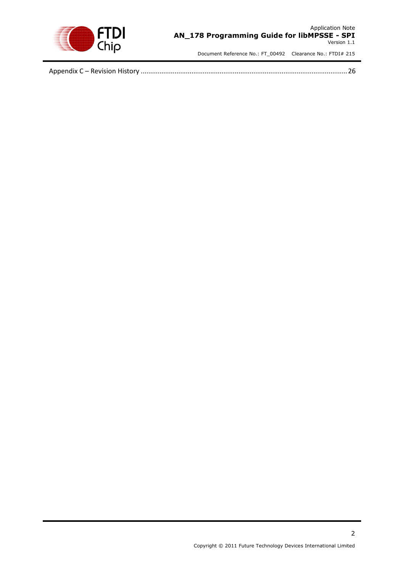

Appendix C – Revision History [..............................................................................................................26](#page-26-0)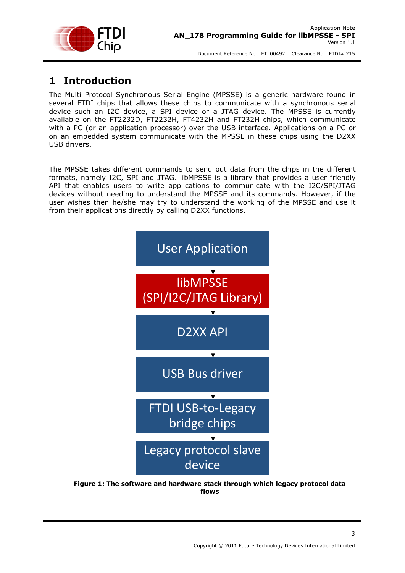

## <span id="page-3-0"></span>**1 Introduction**

The Multi Protocol Synchronous Serial Engine (MPSSE) is a generic hardware found in several FTDI chips that allows these chips to communicate with a synchronous serial device such an I2C device, a SPI device or a JTAG device. The MPSSE is currently available on the FT2232D, FT2232H, FT4232H and FT232H chips, which communicate with a PC (or an application processor) over the USB interface. Applications on a PC or on an embedded system communicate with the MPSSE in these chips using the D2XX USB drivers.

The MPSSE takes different commands to send out data from the chips in the different formats, namely I2C, SPI and JTAG. libMPSSE is a library that provides a user friendly API that enables users to write applications to communicate with the I2C/SPI/JTAG devices without needing to understand the MPSSE and its commands. However, if the user wishes then he/she may try to understand the working of the MPSSE and use it from their applications directly by calling D2XX functions.



**Figure 1: The software and hardware stack through which legacy protocol data flows**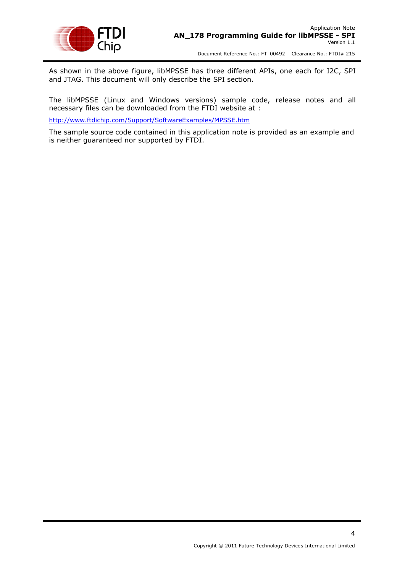

As shown in the above figure, libMPSSE has three different APIs, one each for I2C, SPI and JTAG. This document will only describe the SPI section.

The libMPSSE (Linux and Windows versions) sample code, release notes and all necessary files can be downloaded from the FTDI website at :

<http://www.ftdichip.com/Support/SoftwareExamples/MPSSE.htm>

The sample source code contained in this application note is provided as an example and is neither guaranteed nor supported by FTDI.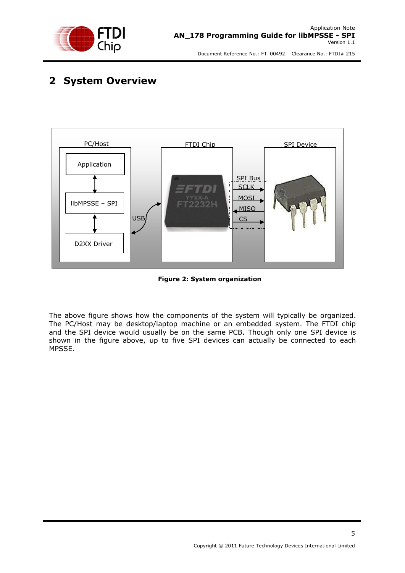

# <span id="page-5-0"></span>**2 System Overview**



**Figure 2: System organization**

The above figure shows how the components of the system will typically be organized. The PC/Host may be desktop/laptop machine or an embedded system. The FTDI chip and the SPI device would usually be on the same PCB. Though only one SPI device is shown in the figure above, up to five SPI devices can actually be connected to each MPSSE.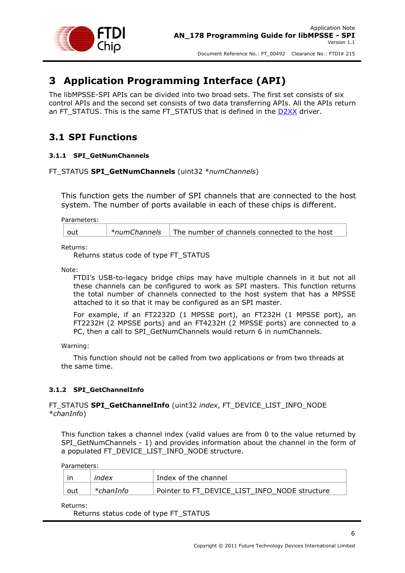

# <span id="page-6-0"></span>**3 Application Programming Interface (API)**

The libMPSSE-SPI APIs can be divided into two broad sets. The first set consists of six control APIs and the second set consists of two data transferring APIs. All the APIs return an FT\_STATUS. This is the same FT\_STATUS that is defined in the [D2XX](http://www.ftdichip.com/Support/Documents/ProgramGuides/D2XX_Programmer) driver.

### <span id="page-6-1"></span>**3.1 SPI Functions**

### <span id="page-6-2"></span>**3.1.1 SPI\_GetNumChannels**

### FT\_STATUS **SPI\_GetNumChannels** (uint32 \**numChannels*)

This function gets the number of SPI channels that are connected to the host system. The number of ports available in each of these chips is different.

Parameters:

| $ $ out | $\vert$ *numChannels $\vert$ The number of channels connected to the host |
|---------|---------------------------------------------------------------------------|
|         |                                                                           |

Returns:

Returns status code of type FT\_STATUS

Note:

FTDI's USB-to-legacy bridge chips may have multiple channels in it but not all these channels can be configured to work as SPI masters. This function returns the total number of channels connected to the host system that has a MPSSE attached to it so that it may be configured as an SPI master.

For example, if an FT2232D (1 MPSSE port), an FT232H (1 MPSSE port), an FT2232H (2 MPSSE ports) and an FT4232H (2 MPSSE ports) are connected to a PC, then a call to SPI\_GetNumChannels would return 6 in numChannels.

Warning:

This function should not be called from two applications or from two threads at the same time.

### <span id="page-6-3"></span>**3.1.2 SPI\_GetChannelInfo**

FT\_STATUS **SPI\_GetChannelInfo** (uint32 *index*, FT\_DEVICE\_LIST\_INFO\_NODE \**chanInfo*)

This function takes a channel index (valid values are from 0 to the value returned by SPI\_GetNumChannels - 1) and provides information about the channel in the form of a populated FT\_DEVICE\_LIST\_INFO\_NODE structure.

Parameters:

| ın  | index     | Index of the channel                          |
|-----|-----------|-----------------------------------------------|
| out | *chanInfo | Pointer to FT DEVICE LIST INFO NODE structure |

Returns:

Returns status code of type FT\_STATUS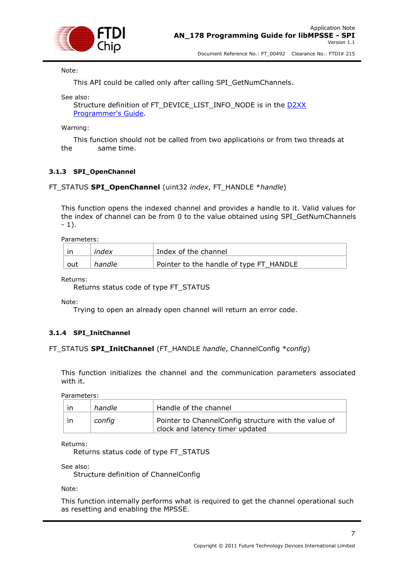

Note:

This API could be called only after calling SPI\_GetNumChannels.

See also:

Structure definition of FT\_DEVICE\_LIST\_INFO\_NODE is in the [D2XX](http://www.ftdichip.com/Support/Documents/ProgramGuides/D2XX_Programmer)  [Programmer's Guide.](http://www.ftdichip.com/Support/Documents/ProgramGuides/D2XX_Programmer)

Warning:

This function should not be called from two applications or from two threads at the same time.

### <span id="page-7-0"></span>**3.1.3 SPI\_OpenChannel**

### FT\_STATUS **SPI\_OpenChannel** (uint32 *index*, FT\_HANDLE \**handle*)

This function opens the indexed channel and provides a handle to it. Valid values for the index of channel can be from 0 to the value obtained using SPI\_GetNumChannels  $-1$ ).

Parameters:

|     | index  | Index of the channel                    |
|-----|--------|-----------------------------------------|
| out | handle | Pointer to the handle of type FT_HANDLE |

Returns:

Returns status code of type FT\_STATUS

Note:

Trying to open an already open channel will return an error code.

### <span id="page-7-1"></span>**3.1.4 SPI\_InitChannel**

### FT\_STATUS **SPI\_InitChannel** (FT\_HANDLE *handle*, ChannelConfig \**config*)

This function initializes the channel and the communication parameters associated with it.

Parameters:

| ın  | handle | Handle of the channel                                                                   |
|-----|--------|-----------------------------------------------------------------------------------------|
| -in | config | Pointer to ChannelConfig structure with the value of<br>clock and latency timer updated |

Returns:

Returns status code of type FT\_STATUS

See also:

Structure definition of ChannelConfig

Note:

This function internally performs what is required to get the channel operational such as resetting and enabling the MPSSE.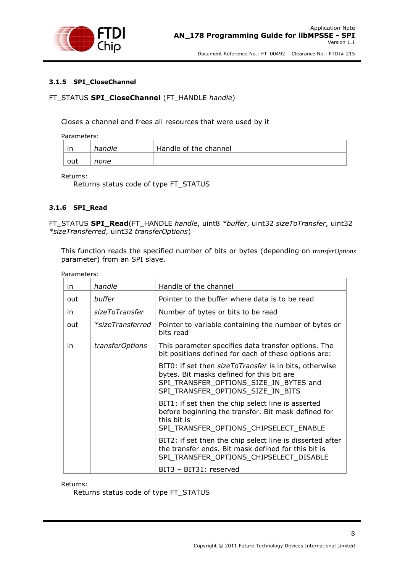

### <span id="page-8-0"></span>**3.1.5 SPI\_CloseChannel**

### FT\_STATUS **SPI\_CloseChannel** (FT\_HANDLE *handle*)

Closes a channel and frees all resources that were used by it

Parameters:

| in  | handle | Handle of the channel |
|-----|--------|-----------------------|
| out | none   |                       |

Returns:

Returns status code of type FT\_STATUS

### <span id="page-8-1"></span>**3.1.6 SPI\_Read**

FT\_STATUS **SPI\_Read**(FT\_HANDLE *handle*, uint8 *\*buffer*, uint32 *sizeToTransfer*, uint32 *\*sizeTransferred*, uint32 *transferOptions*)

This function reads the specified number of bits or bytes (depending on *transferOptions* parameter) from an SPI slave.

| Parameters: |  |
|-------------|--|
|-------------|--|

| in  | handle                 | Handle of the channel                                                                                                                                                                     |
|-----|------------------------|-------------------------------------------------------------------------------------------------------------------------------------------------------------------------------------------|
| out | buffer                 | Pointer to the buffer where data is to be read                                                                                                                                            |
| in. | sizeToTransfer         | Number of bytes or bits to be read                                                                                                                                                        |
| out | *sizeTransferred       | Pointer to variable containing the number of bytes or<br>bits read                                                                                                                        |
| in  | <i>transferOptions</i> | This parameter specifies data transfer options. The<br>bit positions defined for each of these options are:                                                                               |
|     |                        | BIT0: if set then <i>sizeToTransfer</i> is in bits, otherwise<br>bytes. Bit masks defined for this bit are<br>SPI TRANSFER OPTIONS SIZE IN BYTES and<br>SPI TRANSFER OPTIONS SIZE IN BITS |
|     |                        | BIT1: if set then the chip select line is asserted<br>before beginning the transfer. Bit mask defined for<br>this bit is<br>SPI_TRANSFER_OPTIONS_CHIPSELECT_ENABLE                        |
|     |                        | BIT2: if set then the chip select line is disserted after<br>the transfer ends. Bit mask defined for this bit is<br>SPI_TRANSFER_OPTIONS_CHIPSELECT_DISABLE                               |
|     |                        | BIT3 - BIT31: reserved                                                                                                                                                                    |

Returns:

Returns status code of type FT\_STATUS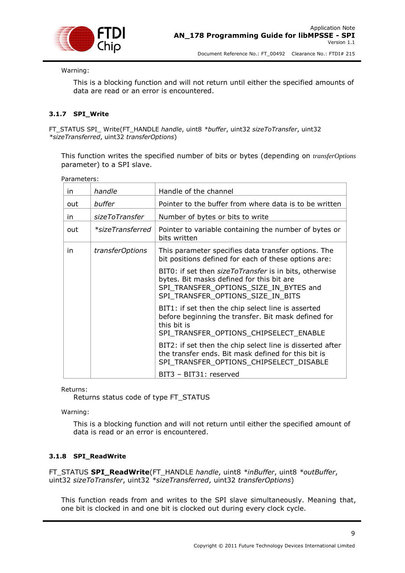

Warning:

This is a blocking function and will not return until either the specified amounts of data are read or an error is encountered.

### <span id="page-9-0"></span>**3.1.7 SPI\_Write**

FT\_STATUS SPI\_ Write(FT\_HANDLE *handle*, uint8 *\*buffer*, uint32 *sizeToTransfer*, uint32 *\*sizeTransferred*, uint32 *transferOptions*)

This function writes the specified number of bits or bytes (depending on *transferOptions* parameter) to a SPI slave.

Parameters:

| in. | handle           | Handle of the channel                                                                                                                                                              |
|-----|------------------|------------------------------------------------------------------------------------------------------------------------------------------------------------------------------------|
| out | buffer           | Pointer to the buffer from where data is to be written                                                                                                                             |
| in. | sizeToTransfer   | Number of bytes or bits to write                                                                                                                                                   |
| out | *sizeTransferred | Pointer to variable containing the number of bytes or<br>bits written                                                                                                              |
| in. | transferOptions  | This parameter specifies data transfer options. The<br>bit positions defined for each of these options are:                                                                        |
|     |                  | BIT0: if set then sizeToTransfer is in bits, otherwise<br>bytes. Bit masks defined for this bit are<br>SPI TRANSFER OPTIONS SIZE IN BYTES and<br>SPI TRANSFER OPTIONS SIZE IN BITS |
|     |                  | BIT1: if set then the chip select line is asserted<br>before beginning the transfer. Bit mask defined for<br>this bit is<br>SPI TRANSFER OPTIONS CHIPSELECT ENABLE                 |
|     |                  | BIT2: if set then the chip select line is disserted after<br>the transfer ends. Bit mask defined for this bit is<br>SPI_TRANSFER_OPTIONS_CHIPSELECT_DISABLE                        |
|     |                  | BIT3 - BIT31: reserved                                                                                                                                                             |

Returns:

Returns status code of type FT\_STATUS

Warning:

This is a blocking function and will not return until either the specified amount of data is read or an error is encountered.

### <span id="page-9-1"></span>**3.1.8 SPI\_ReadWrite**

FT\_STATUS **SPI\_ReadWrite**(FT\_HANDLE *handle*, uint8 *\*inBuffer*, uint8 *\*outBuffer*, uint32 *sizeToTransfer*, uint32 *\*sizeTransferred*, uint32 *transferOptions*)

This function reads from and writes to the SPI slave simultaneously. Meaning that, one bit is clocked in and one bit is clocked out during every clock cycle.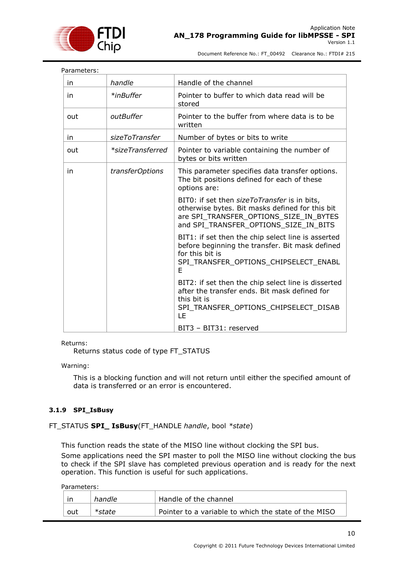

| Parameters: |                  |                                                                                                                                                                                    |  |  |
|-------------|------------------|------------------------------------------------------------------------------------------------------------------------------------------------------------------------------------|--|--|
| in          | handle           | Handle of the channel                                                                                                                                                              |  |  |
| in          | *inBuffer        | Pointer to buffer to which data read will be<br>stored                                                                                                                             |  |  |
| out         | outBuffer        | Pointer to the buffer from where data is to be<br>written                                                                                                                          |  |  |
| in          | sizeToTransfer   | Number of bytes or bits to write                                                                                                                                                   |  |  |
| out         | *sizeTransferred | Pointer to variable containing the number of<br>bytes or bits written                                                                                                              |  |  |
| in          | transferOptions  | This parameter specifies data transfer options.<br>The bit positions defined for each of these<br>options are:                                                                     |  |  |
|             |                  | BIT0: if set then sizeToTransfer is in bits,<br>otherwise bytes. Bit masks defined for this bit<br>are SPI TRANSFER OPTIONS SIZE IN BYTES<br>and SPI_TRANSFER_OPTIONS_SIZE_IN_BITS |  |  |
|             |                  | BIT1: if set then the chip select line is asserted<br>before beginning the transfer. Bit mask defined<br>for this bit is<br>SPI_TRANSFER_OPTIONS_CHIPSELECT_ENABL<br>E             |  |  |
|             |                  | BIT2: if set then the chip select line is disserted<br>after the transfer ends. Bit mask defined for<br>this bit is<br>SPI_TRANSFER_OPTIONS_CHIPSELECT_DISAB<br>LE                 |  |  |
|             |                  | BIT3 - BIT31: reserved                                                                                                                                                             |  |  |

Returns:

Returns status code of type FT\_STATUS

Warning:

This is a blocking function and will not return until either the specified amount of data is transferred or an error is encountered.

### <span id="page-10-0"></span>**3.1.9 SPI\_IsBusy**

### FT\_STATUS **SPI\_ IsBusy**(FT\_HANDLE *handle*, bool *\*state*)

This function reads the state of the MISO line without clocking the SPI bus. Some applications need the SPI master to poll the MISO line without clocking the bus to check if the SPI slave has completed previous operation and is ready for the next operation. This function is useful for such applications.

Parameters:

|     | handle | Handle of the channel                                |
|-----|--------|------------------------------------------------------|
| out |        | Pointer to a variable to which the state of the MISO |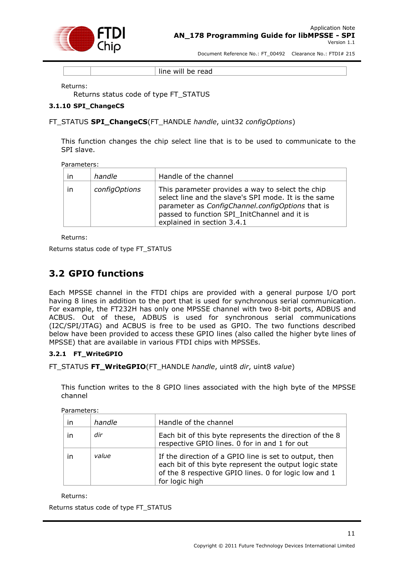

line will be read

Returns:

Returns status code of type FT\_STATUS

### <span id="page-11-0"></span>**3.1.10 SPI\_ChangeCS**

### FT\_STATUS **SPI\_ChangeCS**(FT\_HANDLE *handle*, uint32 *configOptions*)

This function changes the chip select line that is to be used to communicate to the SPI slave.

Parameters:

| in | handle        | Handle of the channel                                                                                                                                                                                                                      |
|----|---------------|--------------------------------------------------------------------------------------------------------------------------------------------------------------------------------------------------------------------------------------------|
| in | configOptions | This parameter provides a way to select the chip<br>select line and the slave's SPI mode. It is the same<br>parameter as ConfigChannel.configOptions that is<br>passed to function SPI_InitChannel and it is<br>explained in section 3.4.1 |

Returns:

Returns status code of type FT\_STATUS

### <span id="page-11-1"></span>**3.2 GPIO functions**

Each MPSSE channel in the FTDI chips are provided with a general purpose I/O port having 8 lines in addition to the port that is used for synchronous serial communication. For example, the FT232H has only one MPSSE channel with two 8-bit ports, ADBUS and ACBUS. Out of these, ADBUS is used for synchronous serial communications (I2C/SPI/JTAG) and ACBUS is free to be used as GPIO. The two functions described below have been provided to access these GPIO lines (also called the higher byte lines of MPSSE) that are available in various FTDI chips with MPSSEs.

### <span id="page-11-2"></span>**3.2.1 FT\_WriteGPIO**

FT\_STATUS **FT\_WriteGPIO**(FT\_HANDLE *handle*, uint8 *dir*, uint8 *value*)

This function writes to the 8 GPIO lines associated with the high byte of the MPSSE channel

Parameters:

| $\mathsf{I}$ | handle | Handle of the channel                                                                                                                                                                       |
|--------------|--------|---------------------------------------------------------------------------------------------------------------------------------------------------------------------------------------------|
| ın           | dir    | Each bit of this byte represents the direction of the 8<br>respective GPIO lines. 0 for in and 1 for out                                                                                    |
| ın           | value  | If the direction of a GPIO line is set to output, then<br>each bit of this byte represent the output logic state<br>of the 8 respective GPIO lines. 0 for logic low and 1<br>for logic high |

Returns:

Returns status code of type FT\_STATUS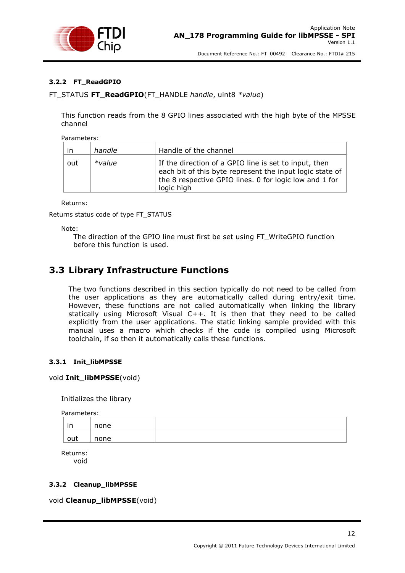

### <span id="page-12-0"></span>**3.2.2 FT\_ReadGPIO**

FT\_STATUS **FT\_ReadGPIO**(FT\_HANDLE *handle*, uint8 *\*value*)

This function reads from the 8 GPIO lines associated with the high byte of the MPSSE channel

Parameters:

| in  | handle | Handle of the channel                                                                                                                                                                     |
|-----|--------|-------------------------------------------------------------------------------------------------------------------------------------------------------------------------------------------|
| out | *value | If the direction of a GPIO line is set to input, then<br>each bit of this byte represent the input logic state of<br>the 8 respective GPIO lines. 0 for logic low and 1 for<br>logic high |

Returns:

Returns status code of type FT\_STATUS

Note:

The direction of the GPIO line must first be set using FT\_WriteGPIO function before this function is used.

### <span id="page-12-1"></span>**3.3 Library Infrastructure Functions**

The two functions described in this section typically do not need to be called from the user applications as they are automatically called during entry/exit time. However, these functions are not called automatically when linking the library statically using Microsoft Visual C++. It is then that they need to be called explicitly from the user applications. The static linking sample provided with this manual uses a macro which checks if the code is compiled using Microsoft toolchain, if so then it automatically calls these functions.

### <span id="page-12-2"></span>**3.3.1 Init\_libMPSSE**

### void **Init\_libMPSSE**(void)

Initializes the library

Parameters:

| in  | none |  |
|-----|------|--|
| out | none |  |

Returns: void

### <span id="page-12-3"></span>**3.3.2 Cleanup\_libMPSSE**

void **Cleanup\_libMPSSE**(void)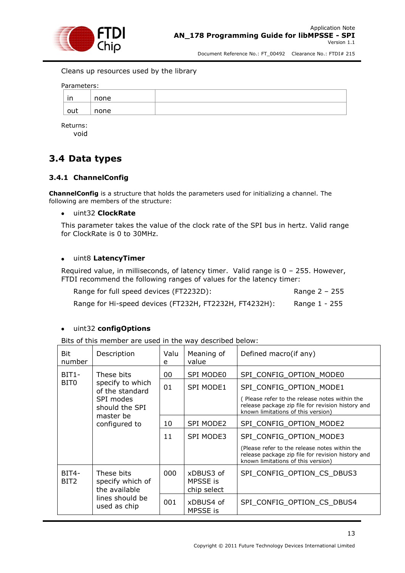

Cleans up resources used by the library

Parameters:

| in  | none |  |
|-----|------|--|
| out | none |  |

Returns: void

### <span id="page-13-0"></span>**3.4 Data types**

### <span id="page-13-1"></span>**3.4.1 ChannelConfig**

**ChannelConfig** is a structure that holds the parameters used for initializing a channel. The following are members of the structure:

### uint32 **ClockRate**

This parameter takes the value of the clock rate of the SPI bus in hertz. Valid range for ClockRate is 0 to 30MHz.

#### $\bullet$ uint8 **LatencyTimer**

Required value, in milliseconds, of latency timer. Valid range is 0 – 255. However, FTDI recommend the following ranges of values for the latency timer:

Range for full speed devices (FT2232D): Range 2 - 255

Range for Hi-speed devices (FT232H, FT2232H, FT4232H): Range 1 - 255

### uint32 **configOptions**

Bits of this member are used in the way described below:

| Bit<br>number             | Description                                                                        | Valu<br>e | Meaning of<br>value                  | Defined macro(if any)                                                                                                                    |
|---------------------------|------------------------------------------------------------------------------------|-----------|--------------------------------------|------------------------------------------------------------------------------------------------------------------------------------------|
| $BIT1-$                   | These bits                                                                         | 00        | <b>SPI MODE0</b>                     | SPI CONFIG OPTION MODE0                                                                                                                  |
| BIT <sub>0</sub>          | specify to which<br>of the standard                                                | 01        | <b>SPI MODE1</b>                     | SPI CONFIG OPTION MODE1                                                                                                                  |
|                           | SPI modes<br>should the SPI                                                        |           |                                      | (Please refer to the release notes within the<br>release package zip file for revision history and<br>known limitations of this version) |
|                           | master be<br>configured to                                                         | 10        | SPI MODE2                            | SPI CONFIG OPTION MODE2                                                                                                                  |
|                           |                                                                                    | 11        | SPI MODE3                            | SPI_CONFIG_OPTION_MODE3                                                                                                                  |
|                           |                                                                                    |           |                                      | (Please refer to the release notes within the<br>release package zip file for revision history and<br>known limitations of this version) |
| BIT4-<br>BIT <sub>2</sub> | These bits<br>specify which of<br>the available<br>lines should be<br>used as chip | 000       | xDBUS3 of<br>MPSSE is<br>chip select | SPI CONFIG OPTION CS DBUS3                                                                                                               |
|                           |                                                                                    | 001       | xDBUS4 of<br>MPSSE is                | SPI_CONFIG_OPTION_CS_DBUS4                                                                                                               |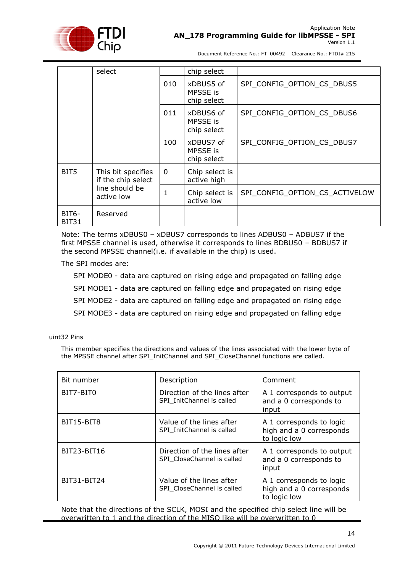

|                    | select                                   |          | chip select                                 |                                |
|--------------------|------------------------------------------|----------|---------------------------------------------|--------------------------------|
|                    |                                          | 010      | xDBUS5 of<br><b>MPSSE</b> is<br>chip select | SPI_CONFIG_OPTION_CS_DBUS5     |
|                    |                                          | 011      | xDBUS6 of<br>MPSSE is<br>chip select        | SPI_CONFIG_OPTION_CS_DBUS6     |
|                    |                                          | 100      | xDBUS7 of<br>MPSSE is<br>chip select        | SPI CONFIG OPTION CS DBUS7     |
| BIT5<br>active low | This bit specifies<br>if the chip select | $\Omega$ | Chip select is<br>active high               |                                |
|                    | line should be                           | 1        | Chip select is<br>active low                | SPI CONFIG OPTION CS ACTIVELOW |
| BIT6-<br>BIT31     | Reserved                                 |          |                                             |                                |

Note: The terms xDBUS0 – xDBUS7 corresponds to lines ADBUS0 – ADBUS7 if the first MPSSE channel is used, otherwise it corresponds to lines BDBUS0 – BDBUS7 if the second MPSSE channel(i.e. if available in the chip) is used.

The SPI modes are:

SPI MODE0 - data are captured on rising edge and propagated on falling edge SPI MODE1 - data are captured on falling edge and propagated on rising edge SPI MODE2 - data are captured on falling edge and propagated on rising edge SPI MODE3 - data are captured on rising edge and propagated on falling edge

uint32 Pins

This member specifies the directions and values of the lines associated with the lower byte of the MPSSE channel after SPI\_InitChannel and SPI\_CloseChannel functions are called.

| Bit number  | Description                                                | Comment                                                              |
|-------------|------------------------------------------------------------|----------------------------------------------------------------------|
| BIT7-BIT0   | Direction of the lines after<br>SPI InitChannel is called  | A 1 corresponds to output<br>and a 0 corresponds to<br>input         |
| BIT15-BIT8  | Value of the lines after<br>SPI InitChannel is called      | A 1 corresponds to logic<br>high and a 0 corresponds<br>to logic low |
| BIT23-BIT16 | Direction of the lines after<br>SPI CloseChannel is called | A 1 corresponds to output<br>and a 0 corresponds to<br>input         |
| BIT31-BIT24 | Value of the lines after<br>SPI CloseChannel is called     | A 1 corresponds to logic<br>high and a 0 corresponds<br>to logic low |

Note that the directions of the SCLK, MOSI and the specified chip select line will be overwritten to 1 and the direction of the MISO like will be overwritten to 0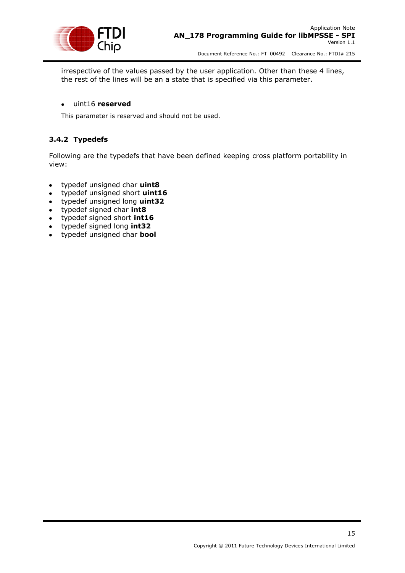

irrespective of the values passed by the user application. Other than these 4 lines, the rest of the lines will be an a state that is specified via this parameter.

### uint16 **reserved**

This parameter is reserved and should not be used.

### <span id="page-15-0"></span>**3.4.2 Typedefs**

Following are the typedefs that have been defined keeping cross platform portability in view:

- typedef unsigned char **uint8**
- typedef unsigned short **uint16**  $\bullet$
- typedef unsigned long **uint32**
- typedef signed char **int8**
- typedef signed short **int16**
- typedef signed long **int32**
- typedef unsigned char **bool**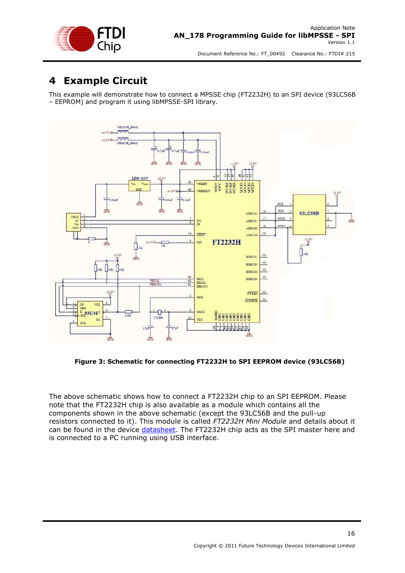

# <span id="page-16-0"></span>**4 Example Circuit**

This example will demonstrate how to connect a MPSSE chip (FT2232H) to an SPI device (93LC56B – EEPROM) and program it using libMPSSE-SPI library.



**Figure 3: Schematic for connecting FT2232H to SPI EEPROM device (93LC56B)**

The above schematic shows how to connect a FT2232H chip to an SPI EEPROM. Please note that the FT2232H chip is also available as a module which contains all the components shown in the above schematic (except the 93LC56B and the pull-up resistors connected to it). This module is called *FT2232H Mini Module* and details about it can be found in the device [datasheet.](http://www.ftdichip.com/Support/Documents/DataSheets/Modules/DS_FT2232H_Mini_Module.pdf) The FT2232H chip acts as the SPI master here and is connected to a PC running using USB interface.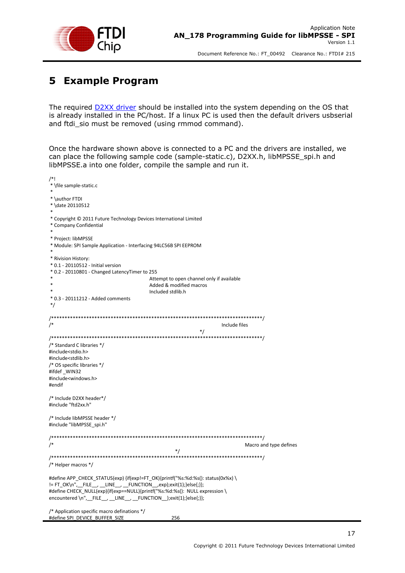

# <span id="page-17-0"></span>**5 Example Program**

The required **D2XX driver** should be installed into the system depending on the OS that is already installed in the PC/host. If a linux PC is used then the default drivers usbserial and ftdi sio must be removed (using rmmod command).

Once the hardware shown above is connected to a PC and the drivers are installed, we can place the following sample code (sample-static.c), D2XX.h, libMPSSE\_spi.h and libMPSSE.a into one folder, compile the sample and run it.

| /*!                                                                                          |                                              |                        |
|----------------------------------------------------------------------------------------------|----------------------------------------------|------------------------|
| * \file sample-static.c                                                                      |                                              |                        |
|                                                                                              |                                              |                        |
| * \author FTDI                                                                               |                                              |                        |
| * \date 20110512                                                                             |                                              |                        |
| * Copyright © 2011 Future Technology Devices International Limited<br>* Company Confidential |                                              |                        |
| * Project: libMPSSE                                                                          |                                              |                        |
| * Module: SPI Sample Application - Interfacing 94LC56B SPI EEPROM                            |                                              |                        |
| * Rivision History:                                                                          |                                              |                        |
| * 0.1 - 20110512 - Initial version                                                           |                                              |                        |
| * 0.2 - 20110801 - Changed LatencyTimer to 255                                               |                                              |                        |
|                                                                                              | Attempt to open channel only if available    |                        |
|                                                                                              | Added & modified macros<br>Included stdlib.h |                        |
| * 0.3 - 20111212 - Added comments                                                            |                                              |                        |
| $^*/$                                                                                        |                                              |                        |
|                                                                                              |                                              |                        |
| $\prime^*$                                                                                   | Include files                                |                        |
|                                                                                              | $^*/$                                        |                        |
|                                                                                              |                                              |                        |
| /* Standard C libraries */                                                                   |                                              |                        |
| #include <stdio.h></stdio.h>                                                                 |                                              |                        |
| #include <stdlib.h></stdlib.h>                                                               |                                              |                        |
| /* OS specific libraries */                                                                  |                                              |                        |
| #ifdef _WIN32                                                                                |                                              |                        |
| #include <windows.h><br/>#endif</windows.h>                                                  |                                              |                        |
|                                                                                              |                                              |                        |
| /* Include D2XX header*/                                                                     |                                              |                        |
| #include "ftd2xx.h"                                                                          |                                              |                        |
|                                                                                              |                                              |                        |
| /* Include libMPSSE header */<br>#include "libMPSSE spi.h"                                   |                                              |                        |
|                                                                                              |                                              |                        |
| $\prime^*$                                                                                   |                                              | Macro and type defines |
|                                                                                              |                                              |                        |
| /* Helper macros */                                                                          |                                              |                        |
| #define APP_CHECK_STATUS(exp) {if(exp!=FT_OK){printf("%s:%d:%s(): status(0x%x) \             |                                              |                        |
| != FT_OK\n",__FILE__, __LINE__, __FUNCTION__,exp);exit(1);}else{;}};                         |                                              |                        |
| #define CHECK_NULL(exp){if(exp==NULL){printf("%s:%d:%s(): NULL expression \                  |                                              |                        |
| encountered \n", __FILE__, __LINE__, __FUNCTION__);exit(1);}else{;}};                        |                                              |                        |
|                                                                                              |                                              |                        |
| /* Application specific macro definations */                                                 |                                              |                        |
| #define SPI DEVICE BUFFER SIZE                                                               | 256                                          |                        |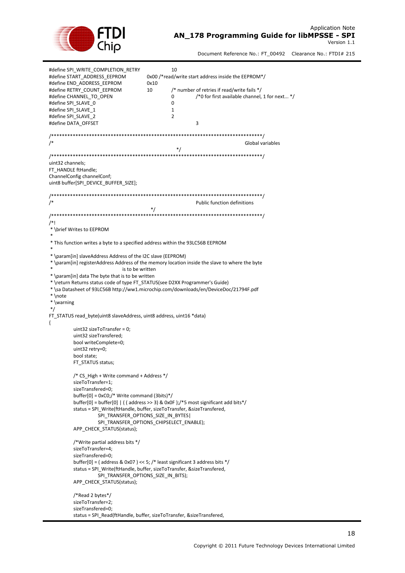

| #define SPI_WRITE_COMPLETION_RETRY<br>#define START_ADDRESS_EEPROM<br>#define END ADDRESS EEPROM<br>#define RETRY COUNT EEPROM<br>#define CHANNEL_TO_OPEN<br>#define SPI SLAVE 0<br>#define SPI_SLAVE_1<br>#define SPI_SLAVE_2<br>#define DATA OFFSET                                                       | 10<br>0x00 /*read/write start address inside the EEPROM*/<br>0x10<br>/* number of retries if read/write fails */<br>10<br>/*0 for first available channel, 1 for next */<br>0<br>0<br>1<br>$\overline{2}$<br>3                                    |
|-------------------------------------------------------------------------------------------------------------------------------------------------------------------------------------------------------------------------------------------------------------------------------------------------------------|---------------------------------------------------------------------------------------------------------------------------------------------------------------------------------------------------------------------------------------------------|
| /*                                                                                                                                                                                                                                                                                                          | Global variables                                                                                                                                                                                                                                  |
| uint32 channels;<br>FT HANDLE ftHandle;<br>ChannelConfig channelConf;<br>uint8 buffer[SPI_DEVICE_BUFFER_SIZE];                                                                                                                                                                                              | $^*/$                                                                                                                                                                                                                                             |
| $\sqrt{*}$                                                                                                                                                                                                                                                                                                  | Public function definitions<br>$^*/$                                                                                                                                                                                                              |
| /*!<br>* \brief Writes to EEPROM<br>* This function writes a byte to a specified address within the 93LC56B EEPROM                                                                                                                                                                                          |                                                                                                                                                                                                                                                   |
| is to be written<br>* \param[in] data The byte that is to be written<br>* \return Returns status code of type FT_STATUS(see D2XX Programmer's Guide)<br>* \note<br>$*$ \warning<br>$^*/$<br>FT_STATUS read_byte(uint8 slaveAddress, uint8 address, uint16 *data)<br>₹                                       | * \param[in] registerAddress Address of the memory location inside the slave to where the byte<br>* \sa Datasheet of 93LC56B http://ww1.microchip.com/downloads/en/DeviceDoc/21794F.pdf                                                           |
| uint32 sizeToTransfer = $0$ ;<br>uint32 sizeTransfered;<br>bool writeComplete=0;<br>uint32 retry=0;<br>bool state;<br>FT_STATUS status;<br>/* CS High + Write command + Address */<br>sizeToTransfer=1;<br>sizeTransfered=0;<br>buffer[0] = $0xCO$ ;/* Write command (3bits)*/<br>APP CHECK STATUS(status); | buffer[0] = buffer[0] $\mid$ ( address >> 3) & 0x0F );/*5 most significant add bits*/<br>status = SPI Write(ftHandle, buffer, sizeToTransfer, &sizeTransfered,<br>SPI_TRANSFER_OPTIONS_SIZE_IN_BYTES <br>SPI TRANSFER OPTIONS CHIPSELECT ENABLE); |
| /*Write partial address bits */<br>sizeToTransfer=4;<br>sizeTransfered=0:<br>APP CHECK STATUS(status);<br>/*Read 2 bytes*/<br>sizeToTransfer=2;                                                                                                                                                             | buffer[0] = (address & 0x07) << 5; /* least significant 3 address bits $*/$<br>status = SPI Write(ftHandle, buffer, sizeToTransfer, &sizeTransfered,<br>SPI TRANSFER OPTIONS SIZE IN BITS);                                                       |
| sizeTransfered=0;                                                                                                                                                                                                                                                                                           | status = SPI Read(ftHandle, buffer, sizeToTransfer, & sizeTransfered,                                                                                                                                                                             |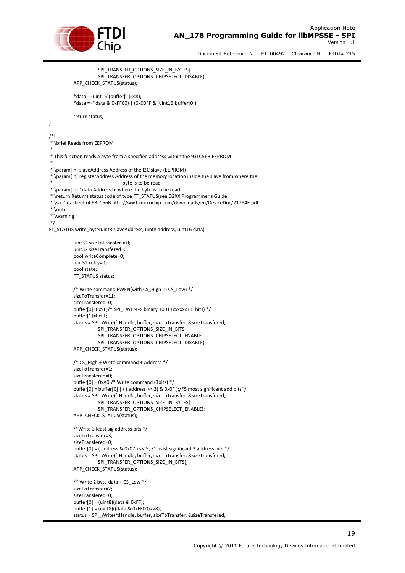

} /\*!

\*

\*

\*/

{

Document Reference No.: FT\_00492 Clearance No.: FTDI# 215

```
SPI_TRANSFER_OPTIONS_SIZE_IN_BYTES|
                     SPI_TRANSFER_OPTIONS_CHIPSELECT_DISABLE);
          APP_CHECK_STATUS(status);
          *data = (uint16)(buffer[1]<<8);
          *data = (*data & 0xFF00) | (0x00FF & (uint16)buffer[0]);
          return status;
* \brief Reads from EEPROM
* This function reads a byte from a specified address within the 93LC56B EEPROM
* \param[in] slaveAddress Address of the I2C slave (EEPROM)
* \param[in] registerAddress Address of the memory location inside the slave from where the 
                               byte is to be read
* \param[in] *data Address to where the byte is to be read
* \return Returns status code of type FT_STATUS(see D2XX Programmer's Guide)
* \sa Datasheet of 93LC56B http://ww1.microchip.com/downloads/en/DeviceDoc/21794F.pdf
* \note 
* \warning
FT_STATUS write_byte(uint8 slaveAddress, uint8 address, uint16 data)
          uint32 sizeToTransfer = 0;
          uint32 sizeTransfered=0;
          bool writeComplete=0;
          uint32 retry=0;
          bool state;
          FT_STATUS status;
          /* Write command EWEN(with CS_High -> CS_Low) */
          sizeToTransfer=11;
          sizeTransfered=0;
          buffer[0]=0x9F;/* SPI_EWEN -> binary 10011xxxxxx (11bits) */
          buffer[1]=0xFF;
          status = SPI_Write(ftHandle, buffer, sizeToTransfer, &sizeTransfered, 
                     SPI_TRANSFER_OPTIONS_SIZE_IN_BITS|
                     SPI_TRANSFER_OPTIONS_CHIPSELECT_ENABLE|
                     SPI_TRANSFER_OPTIONS_CHIPSELECT_DISABLE);
          APP_CHECK_STATUS(status);
          /* CS_High + Write command + Address */
          sizeToTransfer=1;
          sizeTransfered=0;
          buffer[0] = 0xA0;/* Write command (3bits) */
          buffer[0] = buffer[0] | ( ( address >> 3) & 0x0F );/*5 most significant add bits*/
          status = SPI_Write(ftHandle, buffer, sizeToTransfer, &sizeTransfered,
                     SPI_TRANSFER_OPTIONS_SIZE_IN_BYTES|
                     SPI_TRANSFER_OPTIONS_CHIPSELECT_ENABLE);
          APP_CHECK_STATUS(status);
          /*Write 3 least sig address bits */
          sizeToTransfer=3;
          sizeTransfered=0;
          buffer[0] = ( address & 0x07 ) << 5; /* least significant 3 address bits */
          status = SPI_Write(ftHandle, buffer, sizeToTransfer, &sizeTransfered, 
                     SPI_TRANSFER_OPTIONS_SIZE_IN_BITS);
          APP_CHECK_STATUS(status);
          /* Write 2 byte data + CS Low */sizeToTransfer=2;
          sizeTransfered=0;
          buffer[0] = (uint8)(data & 0xFF);
          buffer[1] = (uint8)((data & 0xFF00)>>8);
          status = SPI_Write(ftHandle, buffer, sizeToTransfer, &sizeTransfered,
```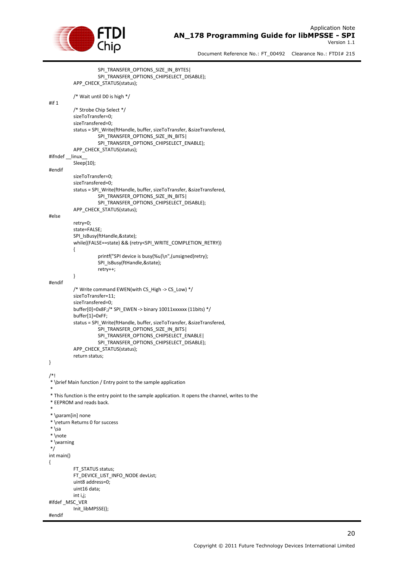

```
SPI_TRANSFER_OPTIONS_SIZE_IN_BYTES|
                     SPI_TRANSFER_OPTIONS_CHIPSELECT_DISABLE);
          APP_CHECK_STATUS(status);
          /* Wait until D0 is high */
#if 1
          /* Strobe Chip Select */
          sizeToTransfer=0;
          sizeTransfered=0;
          status = SPI_Write(ftHandle, buffer, sizeToTransfer, &sizeTransfered, 
                     SPI_TRANSFER_OPTIONS_SIZE_IN_BITS|
                     SPI_TRANSFER_OPTIONS_CHIPSELECT_ENABLE);
          APP_CHECK_STATUS(status);
#ifndef __linux__
          Sleep(10);
#endif
          sizeToTransfer=0;
          sizeTransfered=0;
          status = SPI_Write(ftHandle, buffer, sizeToTransfer, &sizeTransfered,
                     SPI_TRANSFER_OPTIONS_SIZE_IN_BITS|
                     SPI_TRANSFER_OPTIONS_CHIPSELECT_DISABLE);
          APP_CHECK_STATUS(status);
#else
          retry=0;
          state=FALSE;
          SPI_IsBusy(ftHandle,&state);
          while((FALSE==state) && (retry<SPI_WRITE_COMPLETION_RETRY))
          {
                     printf("SPI device is busy(%u)\n",(unsigned)retry);
                     SPI_IsBusy(ftHandle,&state);
                     retry++;
          }
#endif
          /* Write command EWEN(with CS_High -> CS_Low) */
          sizeToTransfer=11;
          sizeTransfered=0;
          buffer[0]=0x8F;/* SPI_EWEN -> binary 10011xxxxxx (11bits) */
          buffer[1]=0xFF;
          status = SPI_Write(ftHandle, buffer, sizeToTransfer, &sizeTransfered, 
                     SPI_TRANSFER_OPTIONS_SIZE_IN_BITS|
                     SPI_TRANSFER_OPTIONS_CHIPSELECT_ENABLE|
                     SPI_TRANSFER_OPTIONS_CHIPSELECT_DISABLE);
          APP_CHECK_STATUS(status);
          return status;
}
/*!
* \brief Main function / Entry point to the sample application
 *
* This function is the entry point to the sample application. It opens the channel, writes to the
* EEPROM and reads back.
 *
* \param[in] none
* \return Returns 0 for success
* \sa
* \note 
 * \warning
*/
int main()
{
          FT_STATUS status:
          FT_DEVICE_LIST_INFO_NODE devList;
          uint8 address=0;
          uint16 data;
          int i,j;
#ifdef _MSC_VER
          Init_libMPSSE();
#endif
```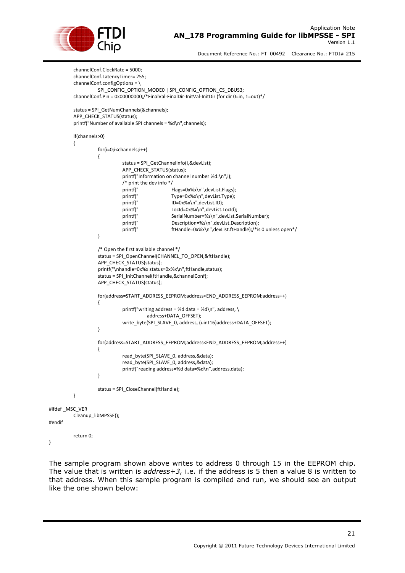

```
channelConf.ClockRate = 5000;
          channelConf.LatencyTimer= 255;
          channelConf.configOptions = \
                     SPI_CONFIG_OPTION_MODE0 | SPI_CONFIG_OPTION_CS_DBUS3;
          channelConf.Pin = 0x00000000;/*FinalVal-FinalDir-InitVal-InitDir (for dir 0=in, 1=out)*/
          status = SPI_GetNumChannels(&channels);
          APP_CHECK_STATUS(status);
          printf("Number of available SPI channels = %d\n",channels);
          if(channels>0)
          {
                     for(i=0;i<channels;i++)
                     {
                                status = SPI_GetChannelInfo(i,&devList);
                                APP_CHECK_STATUS(status);
                                printf("Information on channel number %d:\n",i);
                                /* print the dev info */<br>printf("
                                printf(" Flags=0x%x\n",devList.Flags);<br>printf(" Type=0x%x\n",devList.Type);
                                                      Type=0x%x\n",devList.Type);
                                printf(" ID=0x%x\n",devList.ID); 
                                printf(" Locld=0x%x\n",devList.LocId);<br>printf(" SerialNumber=%s\n".devList.S
                                                      SerialNumber=%s\n".devList.SerialNumber);
                                printf(" Description=%s\n",devList.Description);<br>printf(" ftHandle=0x%x\n".devList.ftHandle):/*is
                                                      ftHandle=0x%x\n",devList.ftHandle);/*is 0 unless open*/
                     }
                     /* Open the first available channel */
                     status = SPI_OpenChannel(CHANNEL_TO_OPEN,&ftHandle);
                     APP_CHECK_STATUS(status);
                     printf("\nhandle=0x%x status=0x%x\n",ftHandle,status);
                     status = SPI_InitChannel(ftHandle,&channelConf);
                     APP_CHECK_STATUS(status);
                     for(address=START_ADDRESS_EEPROM;address<END_ADDRESS_EEPROM;address++)
                     {
                                printf("writing address = %d data = %d\n", address, \
                                           address+DATA_OFFSET);
                                write_byte(SPI_SLAVE_0, address, (uint16)address+DATA_OFFSET);
                     }
                     for(address=START_ADDRESS_EEPROM;address<END_ADDRESS_EEPROM;address++)
                     {
                                read_byte(SPI_SLAVE_0, address,&data);
                                read_byte(SPI_SLAVE_0, address,&data);
                                printf("reading address=%d data=%d\n",address,data);
                     }
                     status = SPI_CloseChannel(ftHandle);
          }
#ifdef _MSC_VER
          Cleanup_libMPSSE();
          return 0;
```
}

#endif

The sample program shown above writes to address 0 through 15 in the EEPROM chip. The value that is written is *address+3,* i.e. if the address is 5 then a value 8 is written to that address. When this sample program is compiled and run, we should see an output like the one shown below: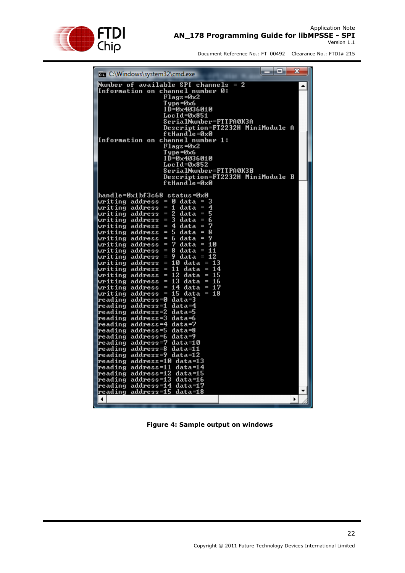

| Number of available SPI channels<br>2<br>I<br>Information on channel number 0:<br>Flags=0x2<br>Т уре =0x6<br>ID=0×4036010<br>Loc I d=0x851<br>SerialNumber=FTTPA0K3A<br>Description=FT2232H MiniModule<br>A<br>ftHandle=0x0<br>channel number 1:<br>Information on<br>Flags=Øx2<br>Т уре =0х6<br>ID=0×4036010<br>LocId=0x852<br>SerialNumber=FTTPAØK3B<br>Description=FT2232H MiniModule B<br>ftHandle=0x0<br>hand le =0x1 bf 3c68<br>status=0x0<br>writing address = 0 data<br>3<br>I<br>address = 1<br>4<br>data<br>writing<br>I<br>5<br>address =<br>$\mathbf{2}^-$<br>writing<br>data<br>I<br>6<br>writing address = $3$<br>data =<br>address = $4$<br>7<br>writing<br>$data =$<br>5<br>8<br>writing<br>address<br>data =<br>$\equiv$<br>9<br>address = 6<br>writing<br>data =<br>7<br>writing<br>address =<br>data = 10<br>writing<br>address =<br>8<br>data = 11<br>writing<br>address = 9<br>data = 12<br>writing<br>address = 10 data = 13<br>address = $11$<br>data = 14<br>writing<br>address = 12<br>data = 15<br>writing<br>writing address = $13$<br>data = 16<br>address<br>$= 14$<br>data = 17<br>writing<br>15 data<br>$= 18$<br>writing<br>address =<br>reading address=0 data=3<br>address=1<br>data=4<br>reading<br>address=2<br>data=5<br>reading<br>reading address=3<br>data=6<br>address=4<br>data=7<br>reading<br>reading<br>address=5<br>data=8<br>reading address=6<br>data=9<br>address=7<br>data=10<br>reading<br>reading<br>address=8<br>data=11<br>reading address=9 data=12<br>address=10 data=13<br>reading<br>address=11<br>data=14<br>reading<br>address=12<br>reading<br>data=15<br>reading<br>address=13<br>data=16<br>address=14 data=17<br>reading<br>reading address=15 data=18<br>$\blacktriangleleft$<br>▶ | x<br>--<br><b>BE C:\Windows\system32\cmd.exe</b> |
|-----------------------------------------------------------------------------------------------------------------------------------------------------------------------------------------------------------------------------------------------------------------------------------------------------------------------------------------------------------------------------------------------------------------------------------------------------------------------------------------------------------------------------------------------------------------------------------------------------------------------------------------------------------------------------------------------------------------------------------------------------------------------------------------------------------------------------------------------------------------------------------------------------------------------------------------------------------------------------------------------------------------------------------------------------------------------------------------------------------------------------------------------------------------------------------------------------------------------------------------------------------------------------------------------------------------------------------------------------------------------------------------------------------------------------------------------------------------------------------------------------------------------------------------------------------------------------------------------------------------------------------------------------------------------------------------------------------------------------------------------------|--------------------------------------------------|
|                                                                                                                                                                                                                                                                                                                                                                                                                                                                                                                                                                                                                                                                                                                                                                                                                                                                                                                                                                                                                                                                                                                                                                                                                                                                                                                                                                                                                                                                                                                                                                                                                                                                                                                                                     |                                                  |
|                                                                                                                                                                                                                                                                                                                                                                                                                                                                                                                                                                                                                                                                                                                                                                                                                                                                                                                                                                                                                                                                                                                                                                                                                                                                                                                                                                                                                                                                                                                                                                                                                                                                                                                                                     |                                                  |
|                                                                                                                                                                                                                                                                                                                                                                                                                                                                                                                                                                                                                                                                                                                                                                                                                                                                                                                                                                                                                                                                                                                                                                                                                                                                                                                                                                                                                                                                                                                                                                                                                                                                                                                                                     |                                                  |

**Figure 4: Sample output on windows**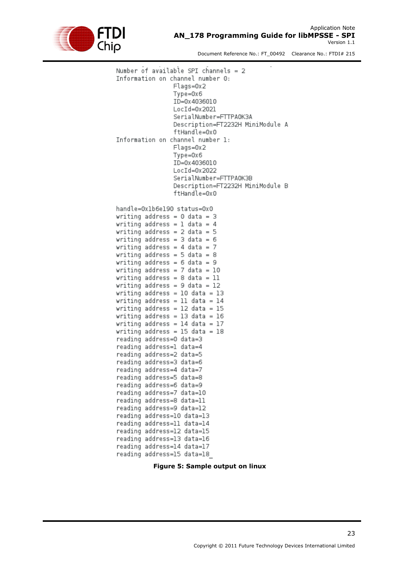

Number of available SPI channels =  $2$ Information on channel number 0: Flags=0x2  $T$ vpe= $0x6$ ID=0x4036010  $LocId=0x2021$ SerialNumber=FTTPA0K3A Description=FT2232H MiniModule A ftHandle=0x0 Information on channel number 1:  $Flaas=0x2$  $Type=0x6$ TD=0x4036010  $LocId=0x2022$ SerialNumber=FTTPA0K3B Description=FT2232H MiniModule B ftHandle=0x0 handle=0x1b6e190 status=0x0 writing address =  $0$  data =  $3$ writing address = 1 data = 4 writing address =  $2$  data =  $5$ writing address =  $3$  data =  $6$ writing address = 4 data =  $7$ writing address = 5 data = 8 writing address =  $6$  data =  $9$ writing address = 7 data =  $10$ writing address =  $8$  data = 11 writing address =  $9$  data = 12 writing address =  $10$  data =  $13$ writing address = 11 data =  $14$ writing address =  $12$  data =  $15$ writing address =  $13$  data =  $16$ writing address =  $14$  data =  $17$ writing address =  $15$  data =  $18$ reading address=0 data=3 reading address=1 data=4 reading address=2 data=5 reading address=3 data=6 reading address=4 data=7 reading address=5 data=8 reading address=6 data=9 reading address=7 data=10 reading address=8 data=11 reading address=9 data=12 reading address=10 data=13 reading address=11 data=14 reading address=12 data=15 reading address=13 data=16 reading address=14 data=17 reading address=15 data=18

**Figure 5: Sample output on linux**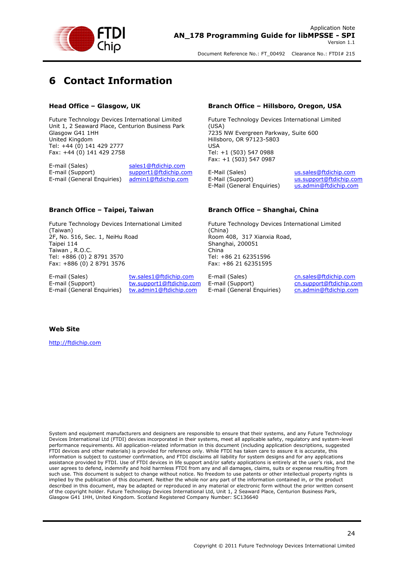

# <span id="page-24-0"></span>**6 Contact Information**

#### **Head Office – Glasgow, UK**

Future Technology Devices International Limited Unit 1, 2 Seaward Place, Centurion Business Park Glasgow G41 1HH United Kingdom Tel: +44 (0) 141 429 2777 Fax: +44 (0) 141 429 2758

E-mail (Sales) [sales1@ftdichip.com](mailto:sales1@ftdichip.com) E-mail (Support) [support1@ftdichip.com](mailto:support1@ftdichip.com) E-mail (General Enquiries) [admin1@ftdichip.com](mailto:admin1@ftdichip.com)

#### **Branch Office – Taipei, Taiwan**

Future Technology Devices International Limited (Taiwan) 2F, No. 516, Sec. 1, NeiHu Road Taipei 114 Taiwan , R.O.C. Tel: +886 (0) 2 8791 3570 Fax: +886 (0) 2 8791 3576

E-mail (Sales) [tw.sales1@ftdichip.com](mailto:tw.sales1@ftdichip.com)<br>
E-mail (Support) tw.support1@ftdichip.com

[tw.support1@ftdichip.com](mailto:tw.support1@ftdichip.com) E-mail (General Enquiries) [tw.admin1@ftdichip.com](mailto:tw.admin1@ftdichip.com)

#### **Branch Office – Hillsboro, Oregon, USA**

Future Technology Devices International Limited (USA) 7235 NW Evergreen Parkway, Suite 600 Hillsboro, OR 97123-5803 USA Tel: +1 (503) 547 0988 Fax: +1 (503) 547 0987

E-Mail (Sales) [us.sales@ftdichip.com](mailto:us.sales@ftdichip.com) E-Mail (Support) [us.support@ftdichip.com](mailto:us.support@ftdichip.com) E-Mail (General Enquiries) [us.admin@ftdichip.com](mailto:us.admin@ftdichip.com)

#### **Branch Office – Shanghai, China**

Future Technology Devices International Limited (China) Room 408, 317 Xianxia Road, Shanghai, 200051 China Tel: +86 21 62351596 Fax: +86 21 62351595

E-mail (Sales) [cn.sales@ftdichip.com](mailto:cn.sales@ftdichip.com)<br>
E-mail (Support) cn.support@ftdichip.com E-mail (General Enquiries) [cn.admin@ftdichip.com](mailto:cn.admin@ftdichip.com)

[cn.support@ftdichip.com](mailto:cn.support@ftdichip.com)

#### **Web Site**

[http://ftdichip.com](http://ftdichip.com/)

System and equipment manufacturers and designers are responsible to ensure that their systems, and any Future Technology Devices International Ltd (FTDI) devices incorporated in their systems, meet all applicable safety, regulatory and system-level performance requirements. All application-related information in this document (including application descriptions, suggested FTDI devices and other materials) is provided for reference only. While FTDI has taken care to assure it is accurate, this information is subject to customer confirmation, and FTDI disclaims all liability for system designs and for any applications assistance provided by FTDI. Use of FTDI devices in life support and/or safety applications is entirely at the user's risk, and the user agrees to defend, indemnify and hold harmless FTDI from any and all damages, claims, suits or expense resulting from such use. This document is subject to change without notice. No freedom to use patents or other intellectual property rights is implied by the publication of this document. Neither the whole nor any part of the information contained in, or the product described in this document, may be adapted or reproduced in any material or electronic form without the prior written consent of the copyright holder. Future Technology Devices International Ltd, Unit 1, 2 Seaward Place, Centurion Business Park, Glasgow G41 1HH, United Kingdom. Scotland Registered Company Number: SC136640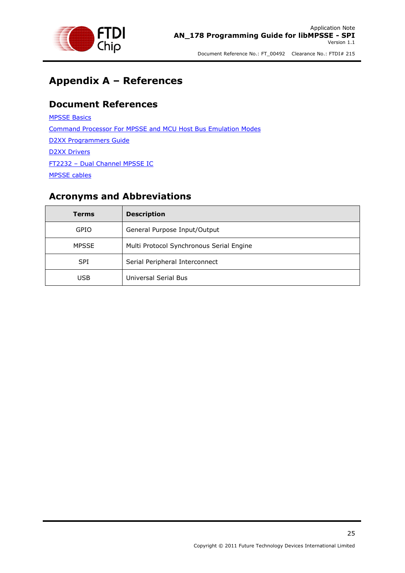

# <span id="page-25-0"></span>**Appendix A – References**

### <span id="page-25-1"></span>**Document References**

[MPSSE Basics](http://www.ftdichip.com/Support/Documents/AppNotes/AN_135_MPSSE_Basics.pdf) [Command Processor For MPSSE and MCU Host Bus Emulation Modes](http://www.ftdichip.com/Support/Documents/AppNotes/AN_108_Command_Processor_for_MPSSE_and_MCU_Host_Bus_Emulation_Modes.pdf) [D2XX Programmers Guide](http://www.ftdichip.com/Support/Documents/ProgramGuides/D2XX_Programmer) [D2XX Drivers](http://www.ftdichip.com/Drivers/D2XX.htm) FT2232 – [Dual Channel MPSSE IC](http://www.ftdichip.com/Products/ICs/FT2232H.htm) [MPSSE cables](http://www.ftdichip.com/Products/Cables/USBMPSSE.htm)

### <span id="page-25-2"></span>**Acronyms and Abbreviations**

| Terms        | <b>Description</b>                       |
|--------------|------------------------------------------|
| GPIO         | General Purpose Input/Output             |
| <b>MPSSE</b> | Multi Protocol Synchronous Serial Engine |
| <b>SPI</b>   | Serial Peripheral Interconnect           |
| <b>USB</b>   | Universal Serial Bus                     |